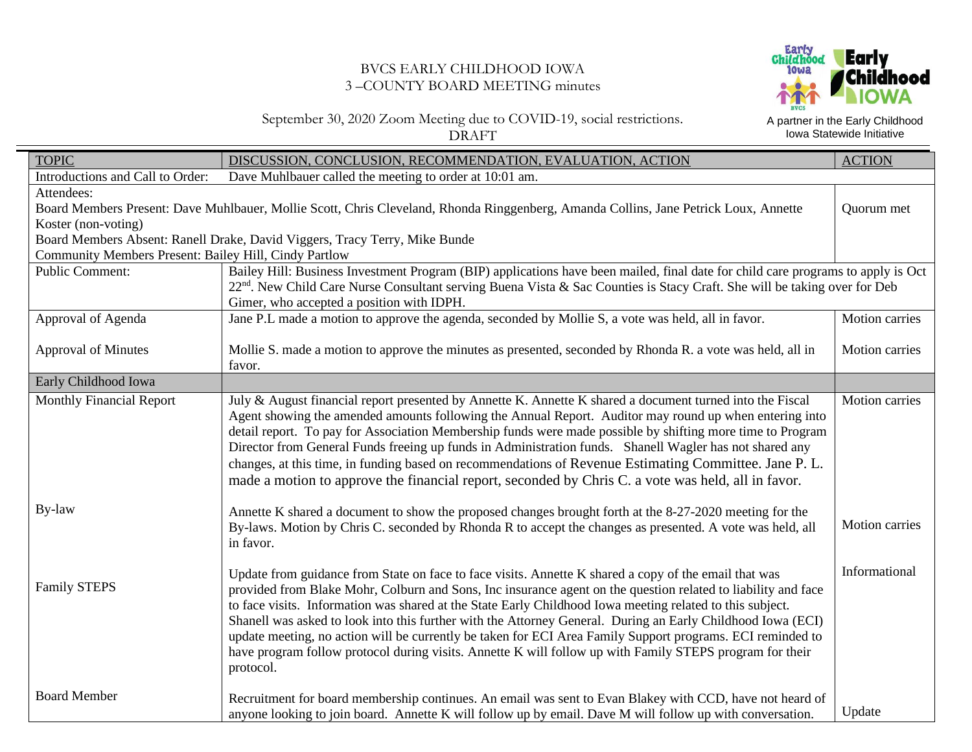## BVCS EARLY CHILDHOOD IOWA 3 –COUNTY BOARD MEETING minutes



September 30, 2020 Zoom Meeting due to COVID-19, social restrictions. DRAFT

| <b>TOPIC</b>                                                                                | DISCUSSION, CONCLUSION, RECOMMENDATION, EVALUATION, ACTION                                                                            | <b>ACTION</b>         |  |
|---------------------------------------------------------------------------------------------|---------------------------------------------------------------------------------------------------------------------------------------|-----------------------|--|
| Introductions and Call to Order:<br>Dave Muhlbauer called the meeting to order at 10:01 am. |                                                                                                                                       |                       |  |
| Attendees:                                                                                  |                                                                                                                                       |                       |  |
|                                                                                             | Board Members Present: Dave Muhlbauer, Mollie Scott, Chris Cleveland, Rhonda Ringgenberg, Amanda Collins, Jane Petrick Loux, Annette  | Quorum met            |  |
| Koster (non-voting)                                                                         |                                                                                                                                       |                       |  |
| Board Members Absent: Ranell Drake, David Viggers, Tracy Terry, Mike Bunde                  |                                                                                                                                       |                       |  |
| Community Members Present: Bailey Hill, Cindy Partlow                                       |                                                                                                                                       |                       |  |
| <b>Public Comment:</b>                                                                      | Bailey Hill: Business Investment Program (BIP) applications have been mailed, final date for child care programs to apply is Oct      |                       |  |
|                                                                                             | 22 <sup>nd</sup> . New Child Care Nurse Consultant serving Buena Vista & Sac Counties is Stacy Craft. She will be taking over for Deb |                       |  |
|                                                                                             | Gimer, who accepted a position with IDPH.                                                                                             |                       |  |
| Approval of Agenda                                                                          | Jane P.L made a motion to approve the agenda, seconded by Mollie S, a vote was held, all in favor.                                    | Motion carries        |  |
| <b>Approval of Minutes</b>                                                                  | Mollie S. made a motion to approve the minutes as presented, seconded by Rhonda R. a vote was held, all in                            | Motion carries        |  |
|                                                                                             | favor.                                                                                                                                |                       |  |
| Early Childhood Iowa                                                                        |                                                                                                                                       |                       |  |
| <b>Monthly Financial Report</b>                                                             | July & August financial report presented by Annette K. Annette K shared a document turned into the Fiscal                             | <b>Motion</b> carries |  |
|                                                                                             | Agent showing the amended amounts following the Annual Report. Auditor may round up when entering into                                |                       |  |
|                                                                                             | detail report. To pay for Association Membership funds were made possible by shifting more time to Program                            |                       |  |
|                                                                                             | Director from General Funds freeing up funds in Administration funds. Shanell Wagler has not shared any                               |                       |  |
|                                                                                             | changes, at this time, in funding based on recommendations of Revenue Estimating Committee. Jane P. L.                                |                       |  |
|                                                                                             | made a motion to approve the financial report, seconded by Chris C. a vote was held, all in favor.                                    |                       |  |
| By-law                                                                                      | Annette K shared a document to show the proposed changes brought forth at the 8-27-2020 meeting for the                               |                       |  |
|                                                                                             | By-laws. Motion by Chris C. seconded by Rhonda R to accept the changes as presented. A vote was held, all                             | Motion carries        |  |
|                                                                                             | in favor.                                                                                                                             |                       |  |
|                                                                                             |                                                                                                                                       |                       |  |
|                                                                                             | Update from guidance from State on face to face visits. Annette K shared a copy of the email that was                                 | Informational         |  |
| <b>Family STEPS</b>                                                                         | provided from Blake Mohr, Colburn and Sons, Inc insurance agent on the question related to liability and face                         |                       |  |
|                                                                                             | to face visits. Information was shared at the State Early Childhood Iowa meeting related to this subject.                             |                       |  |
|                                                                                             | Shanell was asked to look into this further with the Attorney General. During an Early Childhood Iowa (ECI)                           |                       |  |
|                                                                                             | update meeting, no action will be currently be taken for ECI Area Family Support programs. ECI reminded to                            |                       |  |
|                                                                                             | have program follow protocol during visits. Annette K will follow up with Family STEPS program for their                              |                       |  |
|                                                                                             | protocol.                                                                                                                             |                       |  |
|                                                                                             |                                                                                                                                       |                       |  |
| <b>Board Member</b>                                                                         | Recruitment for board membership continues. An email was sent to Evan Blakey with CCD, have not heard of                              |                       |  |
|                                                                                             | anyone looking to join board. Annette K will follow up by email. Dave M will follow up with conversation.                             | Update                |  |

A partner in the Early Childhood Iowa Statewide Initiative